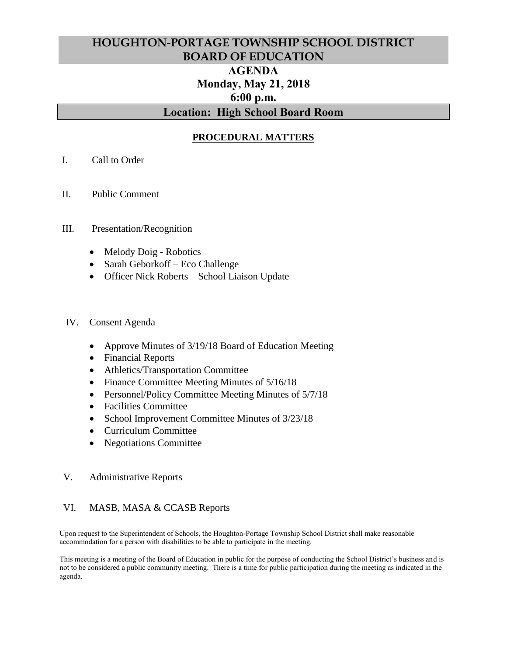# **HOUGHTON-PORTAGE TOWNSHIP SCHOOL DISTRICT BOARD OF EDUCATION AGENDA Monday, May 21, 2018 6:00 p.m. Location: High School Board Room**

## **PROCEDURAL MATTERS**

- I. Call to Order
- II. Public Comment

#### III. Presentation/Recognition

- Melody Doig Robotics
- Sarah Geborkoff Eco Challenge
- Officer Nick Roberts School Liaison Update

#### IV. Consent Agenda

- Approve Minutes of 3/19/18 Board of Education Meeting
- Financial Reports
- Athletics/Transportation Committee
- Finance Committee Meeting Minutes of  $5/16/18$
- Personnel/Policy Committee Meeting Minutes of  $5/7/18$
- Facilities Committee
- School Improvement Committee Minutes of 3/23/18
- Curriculum Committee
- Negotiations Committee

#### V. Administrative Reports

### VI. MASB, MASA & CCASB Reports

Upon request to the Superintendent of Schools, the Houghton-Portage Township School District shall make reasonable accommodation for a person with disabilities to be able to participate in the meeting.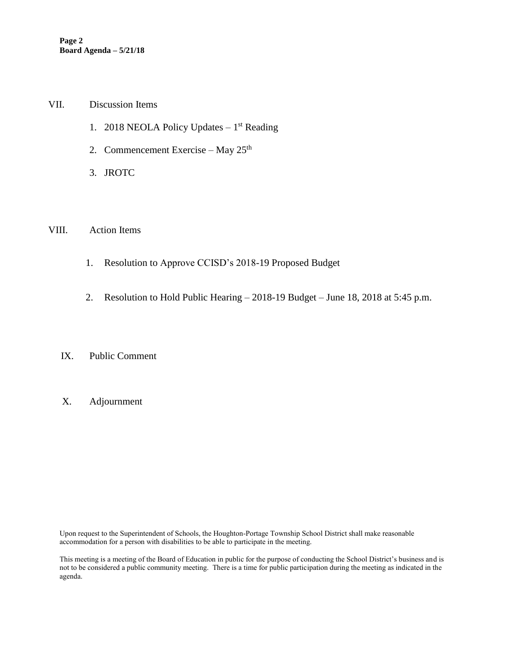#### VII. Discussion Items

- 1. 2018 NEOLA Policy Updates  $-1<sup>st</sup>$  Reading
- 2. Commencement Exercise May  $25<sup>th</sup>$
- 3. JROTC

### VIII. Action Items

- 1. Resolution to Approve CCISD's 2018-19 Proposed Budget
- 2. Resolution to Hold Public Hearing 2018-19 Budget June 18, 2018 at 5:45 p.m.

## IX. Public Comment

### X. Adjournment

Upon request to the Superintendent of Schools, the Houghton-Portage Township School District shall make reasonable accommodation for a person with disabilities to be able to participate in the meeting.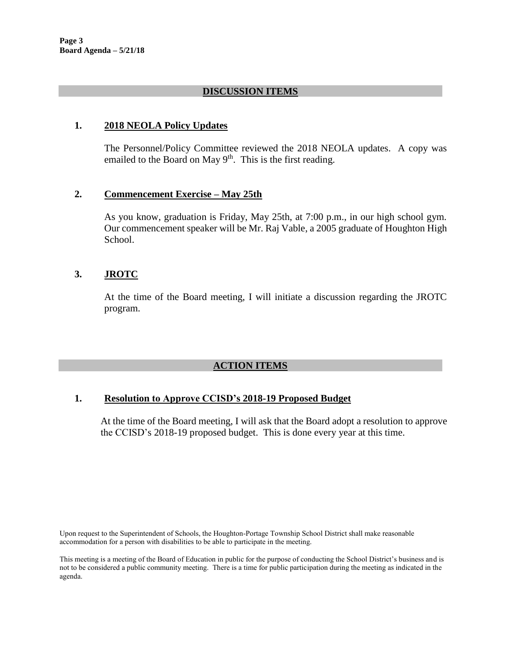## **DISCUSSION ITEMS**

### **1. 2018 NEOLA Policy Updates**

The Personnel/Policy Committee reviewed the 2018 NEOLA updates. A copy was emailed to the Board on May  $9<sup>th</sup>$ . This is the first reading.

#### **2. Commencement Exercise – May 25th**

As you know, graduation is Friday, May 25th, at 7:00 p.m., in our high school gym. Our commencement speaker will be Mr. Raj Vable, a 2005 graduate of Houghton High School.

## **3. JROTC**

At the time of the Board meeting, I will initiate a discussion regarding the JROTC program.

### **ACTION ITEMS**

### **1. Resolution to Approve CCISD's 2018-19 Proposed Budget**

At the time of the Board meeting, I will ask that the Board adopt a resolution to approve the CCISD's 2018-19 proposed budget. This is done every year at this time.

Upon request to the Superintendent of Schools, the Houghton-Portage Township School District shall make reasonable accommodation for a person with disabilities to be able to participate in the meeting.